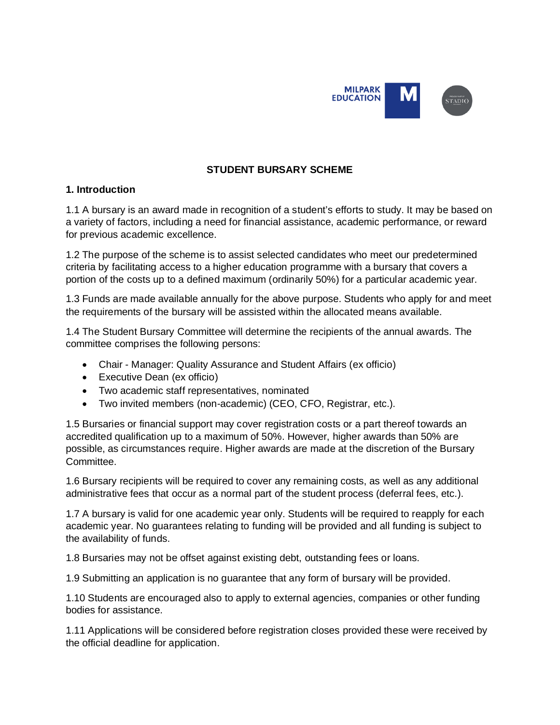

## **STUDENT BURSARY SCHEME**

### **1. Introduction**

1.1 A bursary is an award made in recognition of a student's efforts to study. It may be based on a variety of factors, including a need for financial assistance, academic performance, or reward for previous academic excellence.

1.2 The purpose of the scheme is to assist selected candidates who meet our predetermined criteria by facilitating access to a higher education programme with a bursary that covers a portion of the costs up to a defined maximum (ordinarily 50%) for a particular academic year.

1.3 Funds are made available annually for the above purpose. Students who apply for and meet the requirements of the bursary will be assisted within the allocated means available.

1.4 The Student Bursary Committee will determine the recipients of the annual awards. The committee comprises the following persons:

- Chair Manager: Quality Assurance and Student Affairs (ex officio)
- Executive Dean (ex officio)
- Two academic staff representatives, nominated
- Two invited members (non-academic) (CEO, CFO, Registrar, etc.).

1.5 Bursaries or financial support may cover registration costs or a part thereof towards an accredited qualification up to a maximum of 50%. However, higher awards than 50% are possible, as circumstances require. Higher awards are made at the discretion of the Bursary Committee.

1.6 Bursary recipients will be required to cover any remaining costs, as well as any additional administrative fees that occur as a normal part of the student process (deferral fees, etc.).

1.7 A bursary is valid for one academic year only. Students will be required to reapply for each academic year. No guarantees relating to funding will be provided and all funding is subject to the availability of funds.

1.8 Bursaries may not be offset against existing debt, outstanding fees or loans.

1.9 Submitting an application is no guarantee that any form of bursary will be provided.

1.10 Students are encouraged also to apply to external agencies, companies or other funding bodies for assistance.

1.11 Applications will be considered before registration closes provided these were received by the official deadline for application.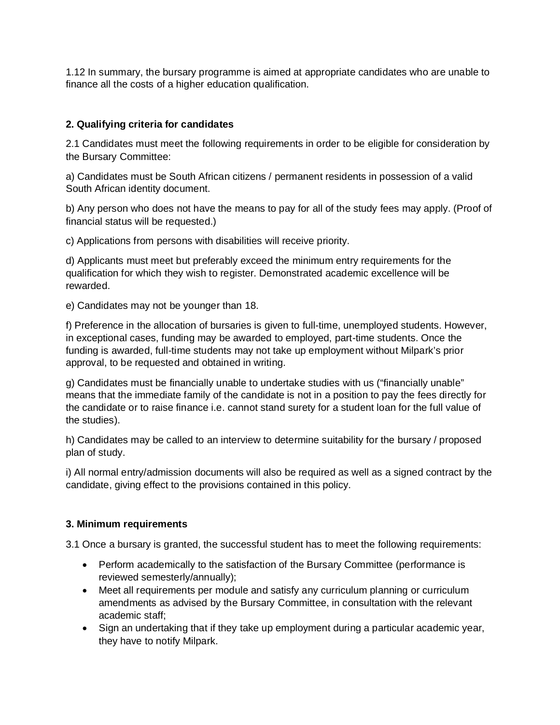1.12 In summary, the bursary programme is aimed at appropriate candidates who are unable to finance all the costs of a higher education qualification.

## **2. Qualifying criteria for candidates**

2.1 Candidates must meet the following requirements in order to be eligible for consideration by the Bursary Committee:

a) Candidates must be South African citizens / permanent residents in possession of a valid South African identity document.

b) Any person who does not have the means to pay for all of the study fees may apply. (Proof of financial status will be requested.)

c) Applications from persons with disabilities will receive priority.

d) Applicants must meet but preferably exceed the minimum entry requirements for the qualification for which they wish to register. Demonstrated academic excellence will be rewarded.

e) Candidates may not be younger than 18.

f) Preference in the allocation of bursaries is given to full-time, unemployed students. However, in exceptional cases, funding may be awarded to employed, part-time students. Once the funding is awarded, full-time students may not take up employment without Milpark's prior approval, to be requested and obtained in writing.

g) Candidates must be financially unable to undertake studies with us ("financially unable" means that the immediate family of the candidate is not in a position to pay the fees directly for the candidate or to raise finance i.e. cannot stand surety for a student loan for the full value of the studies).

h) Candidates may be called to an interview to determine suitability for the bursary / proposed plan of study.

i) All normal entry/admission documents will also be required as well as a signed contract by the candidate, giving effect to the provisions contained in this policy.

## **3. Minimum requirements**

3.1 Once a bursary is granted, the successful student has to meet the following requirements:

- Perform academically to the satisfaction of the Bursary Committee (performance is reviewed semesterly/annually);
- Meet all requirements per module and satisfy any curriculum planning or curriculum amendments as advised by the Bursary Committee, in consultation with the relevant academic staff;
- Sign an undertaking that if they take up employment during a particular academic year, they have to notify Milpark.